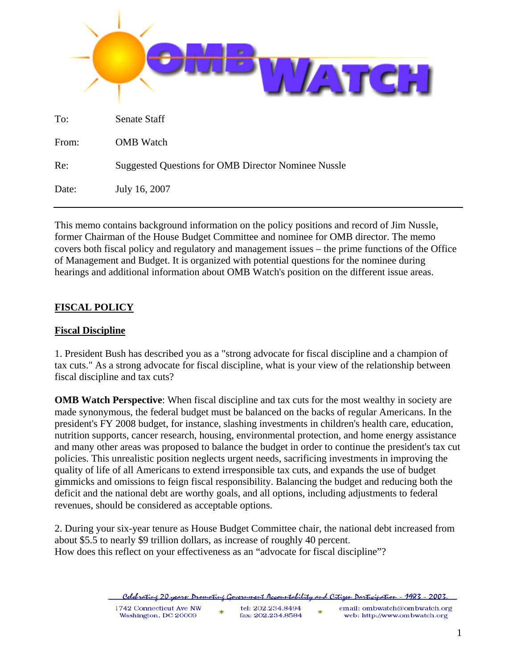| To:   | Senate Staff                                               |
|-------|------------------------------------------------------------|
| From: | <b>OMB</b> Watch                                           |
| Re:   | <b>Suggested Questions for OMB Director Nominee Nussle</b> |
| Date: | July 16, 2007                                              |

This memo contains background information on the policy positions and record of Jim Nussle, former Chairman of the House Budget Committee and nominee for OMB director. The memo covers both fiscal policy and regulatory and management issues – the prime functions of the Office of Management and Budget. It is organized with potential questions for the nominee during hearings and additional information about OMB Watch's position on the different issue areas.

# **FISCAL POLICY**

### **Fiscal Discipline**

1. President Bush has described you as a "strong advocate for fiscal discipline and a champion of tax cuts." As a strong advocate for fiscal discipline, what is your view of the relationship between fiscal discipline and tax cuts?

**OMB Watch Perspective:** When fiscal discipline and tax cuts for the most wealthy in society are made synonymous, the federal budget must be balanced on the backs of regular Americans. In the president's FY 2008 budget, for instance, slashing investments in children's health care, education, nutrition supports, cancer research, housing, environmental protection, and home energy assistance and many other areas was proposed to balance the budget in order to continue the president's tax cut policies. This unrealistic position neglects urgent needs, sacrificing investments in improving the quality of life of all Americans to extend irresponsible tax cuts, and expands the use of budget gimmicks and omissions to feign fiscal responsibility. Balancing the budget and reducing both the deficit and the national debt are worthy goals, and all options, including adjustments to federal revenues, should be considered as acceptable options.

2. During your six-year tenure as House Budget Committee chair, the national debt increased from about \$5.5 to nearly \$9 trillion dollars, as increase of roughly 40 percent. How does this reflect on your effectiveness as an "advocate for fiscal discipline"?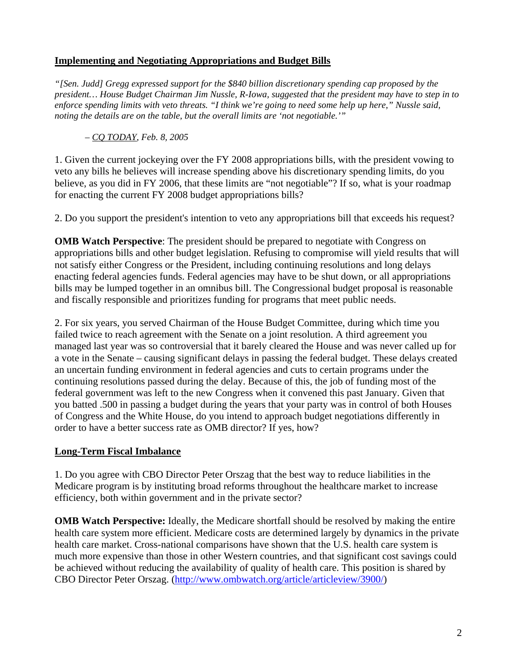# **Implementing and Negotiating Appropriations and Budget Bills**

*"[Sen. Judd] Gregg expressed support for the \$840 billion discretionary spending cap proposed by the president… House Budget Chairman Jim Nussle, R-Iowa, suggested that the president may have to step in to enforce spending limits with veto threats. "I think we're going to need some help up here," Nussle said, noting the details are on the table, but the overall limits are 'not negotiable.'"* 

*– CQ TODAY, Feb. 8, 2005* 

1. Given the current jockeying over the FY 2008 appropriations bills, with the president vowing to veto any bills he believes will increase spending above his discretionary spending limits, do you believe, as you did in FY 2006, that these limits are "not negotiable"? If so, what is your roadmap for enacting the current FY 2008 budget appropriations bills?

2. Do you support the president's intention to veto any appropriations bill that exceeds his request?

**OMB Watch Perspective:** The president should be prepared to negotiate with Congress on appropriations bills and other budget legislation. Refusing to compromise will yield results that will not satisfy either Congress or the President, including continuing resolutions and long delays enacting federal agencies funds. Federal agencies may have to be shut down, or all appropriations bills may be lumped together in an omnibus bill. The Congressional budget proposal is reasonable and fiscally responsible and prioritizes funding for programs that meet public needs.

2. For six years, you served Chairman of the House Budget Committee, during which time you failed twice to reach agreement with the Senate on a joint resolution. A third agreement you managed last year was so controversial that it barely cleared the House and was never called up for a vote in the Senate – causing significant delays in passing the federal budget. These delays created an uncertain funding environment in federal agencies and cuts to certain programs under the continuing resolutions passed during the delay. Because of this, the job of funding most of the federal government was left to the new Congress when it convened this past January. Given that you batted .500 in passing a budget during the years that your party was in control of both Houses of Congress and the White House, do you intend to approach budget negotiations differently in order to have a better success rate as OMB director? If yes, how?

### **Long-Term Fiscal Imbalance**

1. Do you agree with CBO Director Peter Orszag that the best way to reduce liabilities in the Medicare program is by instituting broad reforms throughout the healthcare market to increase efficiency, both within government and in the private sector?

**OMB Watch Perspective:** Ideally, the Medicare shortfall should be resolved by making the entire health care system more efficient. Medicare costs are determined largely by dynamics in the private health care market. Cross-national comparisons have shown that the U.S. health care system is much more expensive than those in other Western countries, and that significant cost savings could be achieved without reducing the availability of quality of health care. This position is shared by CBO Director Peter Orszag. (http://www.ombwatch.org/article/articleview/3900/)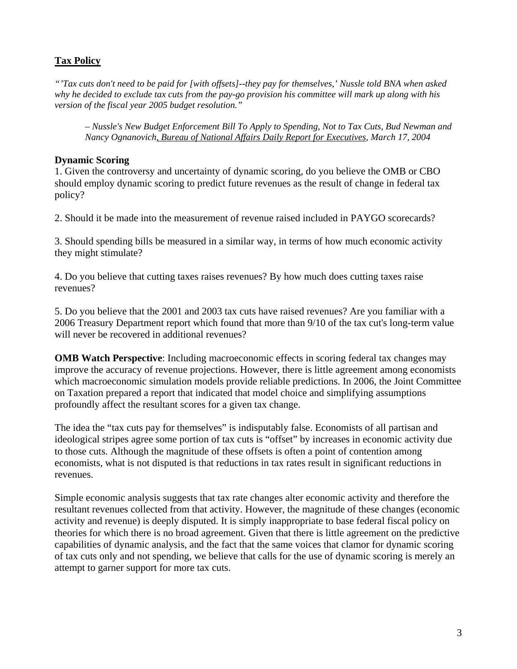# **Tax Policy**

*"'Tax cuts don't need to be paid for [with offsets]--they pay for themselves,' Nussle told BNA when asked why he decided to exclude tax cuts from the pay-go provision his committee will mark up along with his version of the fiscal year 2005 budget resolution."* 

*– Nussle's New Budget Enforcement Bill To Apply to Spending, Not to Tax Cuts, Bud Newman and Nancy Ognanovich, Bureau of National Affairs Daily Report for Executives, March 17, 2004* 

#### **Dynamic Scoring**

1. Given the controversy and uncertainty of dynamic scoring, do you believe the OMB or CBO should employ dynamic scoring to predict future revenues as the result of change in federal tax policy?

2. Should it be made into the measurement of revenue raised included in PAYGO scorecards?

3. Should spending bills be measured in a similar way, in terms of how much economic activity they might stimulate?

4. Do you believe that cutting taxes raises revenues? By how much does cutting taxes raise revenues?

5. Do you believe that the 2001 and 2003 tax cuts have raised revenues? Are you familiar with a 2006 Treasury Department report which found that more than 9/10 of the tax cut's long-term value will never be recovered in additional revenues?

**OMB Watch Perspective**: Including macroeconomic effects in scoring federal tax changes may improve the accuracy of revenue projections. However, there is little agreement among economists which macroeconomic simulation models provide reliable predictions. In 2006, the Joint Committee on Taxation prepared a report that indicated that model choice and simplifying assumptions profoundly affect the resultant scores for a given tax change.

The idea the "tax cuts pay for themselves" is indisputably false. Economists of all partisan and ideological stripes agree some portion of tax cuts is "offset" by increases in economic activity due to those cuts. Although the magnitude of these offsets is often a point of contention among economists, what is not disputed is that reductions in tax rates result in significant reductions in revenues.

Simple economic analysis suggests that tax rate changes alter economic activity and therefore the resultant revenues collected from that activity. However, the magnitude of these changes (economic activity and revenue) is deeply disputed. It is simply inappropriate to base federal fiscal policy on theories for which there is no broad agreement. Given that there is little agreement on the predictive capabilities of dynamic analysis, and the fact that the same voices that clamor for dynamic scoring of tax cuts only and not spending, we believe that calls for the use of dynamic scoring is merely an attempt to garner support for more tax cuts.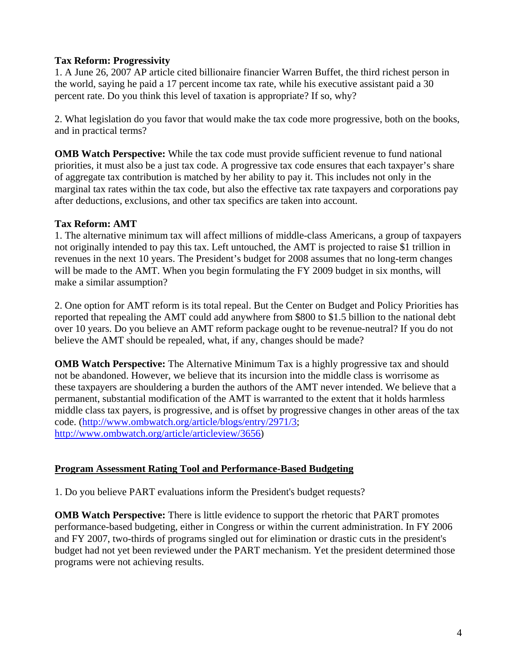## **Tax Reform: Progressivity**

1. A June 26, 2007 AP article cited billionaire financier Warren Buffet, the third richest person in the world, saying he paid a 17 percent income tax rate, while his executive assistant paid a 30 percent rate. Do you think this level of taxation is appropriate? If so, why?

2. What legislation do you favor that would make the tax code more progressive, both on the books, and in practical terms?

**OMB Watch Perspective:** While the tax code must provide sufficient revenue to fund national priorities, it must also be a just tax code. A progressive tax code ensures that each taxpayer's share of aggregate tax contribution is matched by her ability to pay it. This includes not only in the marginal tax rates within the tax code, but also the effective tax rate taxpayers and corporations pay after deductions, exclusions, and other tax specifics are taken into account.

### **Tax Reform: AMT**

1. The alternative minimum tax will affect millions of middle-class Americans, a group of taxpayers not originally intended to pay this tax. Left untouched, the AMT is projected to raise \$1 trillion in revenues in the next 10 years. The President's budget for 2008 assumes that no long-term changes will be made to the AMT. When you begin formulating the FY 2009 budget in six months, will make a similar assumption?

2. One option for AMT reform is its total repeal. But the Center on Budget and Policy Priorities has reported that repealing the AMT could add anywhere from \$800 to \$1.5 billion to the national debt over 10 years. Do you believe an AMT reform package ought to be revenue-neutral? If you do not believe the AMT should be repealed, what, if any, changes should be made?

**OMB Watch Perspective:** The Alternative Minimum Tax is a highly progressive tax and should not be abandoned. However, we believe that its incursion into the middle class is worrisome as these taxpayers are shouldering a burden the authors of the AMT never intended. We believe that a permanent, substantial modification of the AMT is warranted to the extent that it holds harmless middle class tax payers, is progressive, and is offset by progressive changes in other areas of the tax code. (http://www.ombwatch.org/article/blogs/entry/2971/3; http://www.ombwatch.org/article/articleview/3656)

# **Program Assessment Rating Tool and Performance-Based Budgeting**

1. Do you believe PART evaluations inform the President's budget requests?

**OMB Watch Perspective:** There is little evidence to support the rhetoric that PART promotes performance-based budgeting, either in Congress or within the current administration. In FY 2006 and FY 2007, two-thirds of programs singled out for elimination or drastic cuts in the president's budget had not yet been reviewed under the PART mechanism. Yet the president determined those programs were not achieving results.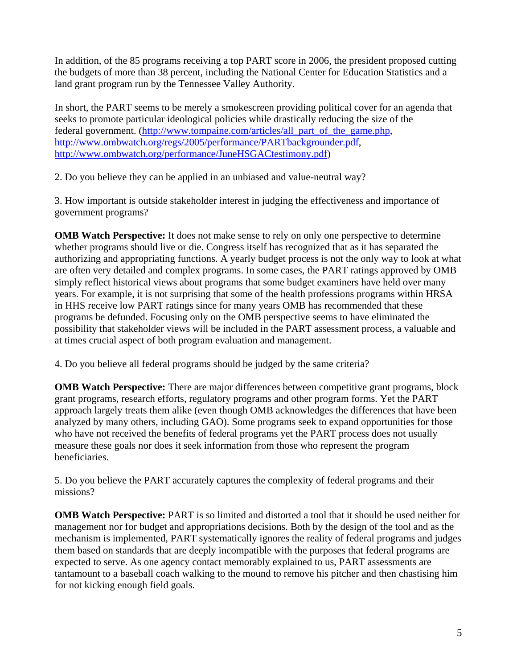In addition, of the 85 programs receiving a top PART score in 2006, the president proposed cutting the budgets of more than 38 percent, including the National Center for Education Statistics and a land grant program run by the Tennessee Valley Authority.

In short, the PART seems to be merely a smokescreen providing political cover for an agenda that seeks to promote particular ideological policies while drastically reducing the size of the federal government. (http://www.tompaine.com/articles/all\_part\_of\_the\_game.php, http://www.ombwatch.org/regs/2005/performance/PARTbackgrounder.pdf, http://www.ombwatch.org/performance/JuneHSGACtestimony.pdf)

2. Do you believe they can be applied in an unbiased and value-neutral way?

3. How important is outside stakeholder interest in judging the effectiveness and importance of government programs?

**OMB Watch Perspective:** It does not make sense to rely on only one perspective to determine whether programs should live or die. Congress itself has recognized that as it has separated the authorizing and appropriating functions. A yearly budget process is not the only way to look at what are often very detailed and complex programs. In some cases, the PART ratings approved by OMB simply reflect historical views about programs that some budget examiners have held over many years. For example, it is not surprising that some of the health professions programs within HRSA in HHS receive low PART ratings since for many years OMB has recommended that these programs be defunded. Focusing only on the OMB perspective seems to have eliminated the possibility that stakeholder views will be included in the PART assessment process, a valuable and at times crucial aspect of both program evaluation and management.

4. Do you believe all federal programs should be judged by the same criteria?

**OMB Watch Perspective:** There are major differences between competitive grant programs, block grant programs, research efforts, regulatory programs and other program forms. Yet the PART approach largely treats them alike (even though OMB acknowledges the differences that have been analyzed by many others, including GAO). Some programs seek to expand opportunities for those who have not received the benefits of federal programs yet the PART process does not usually measure these goals nor does it seek information from those who represent the program beneficiaries.

5. Do you believe the PART accurately captures the complexity of federal programs and their missions?

**OMB Watch Perspective:** PART is so limited and distorted a tool that it should be used neither for management nor for budget and appropriations decisions. Both by the design of the tool and as the mechanism is implemented, PART systematically ignores the reality of federal programs and judges them based on standards that are deeply incompatible with the purposes that federal programs are expected to serve. As one agency contact memorably explained to us, PART assessments are tantamount to a baseball coach walking to the mound to remove his pitcher and then chastising him for not kicking enough field goals.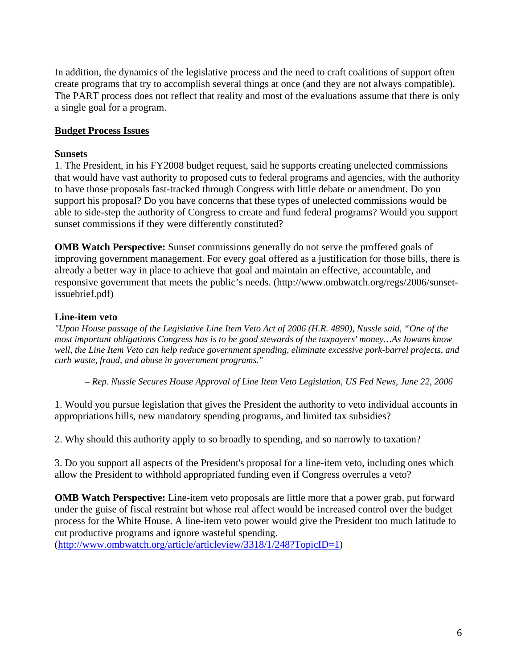In addition, the dynamics of the legislative process and the need to craft coalitions of support often create programs that try to accomplish several things at once (and they are not always compatible). The PART process does not reflect that reality and most of the evaluations assume that there is only a single goal for a program.

## **Budget Process Issues**

#### **Sunsets**

1. The President, in his FY2008 budget request, said he supports creating unelected commissions that would have vast authority to proposed cuts to federal programs and agencies, with the authority to have those proposals fast-tracked through Congress with little debate or amendment. Do you support his proposal? Do you have concerns that these types of unelected commissions would be able to side-step the authority of Congress to create and fund federal programs? Would you support sunset commissions if they were differently constituted?

**OMB Watch Perspective:** Sunset commissions generally do not serve the proffered goals of improving government management. For every goal offered as a justification for those bills, there is already a better way in place to achieve that goal and maintain an effective, accountable, and responsive government that meets the public's needs. (http://www.ombwatch.org/regs/2006/sunsetissuebrief.pdf)

#### **Line-item veto**

*"Upon House passage of the Legislative Line Item Veto Act of 2006 (H.R. 4890), Nussle said, "One of the most important obligations Congress has is to be good stewards of the taxpayers' money…As Iowans know well, the Line Item Veto can help reduce government spending, eliminate excessive pork-barrel projects, and curb waste, fraud, and abuse in government programs."* 

*– Rep. Nussle Secures House Approval of Line Item Veto Legislation, US Fed News, June 22, 2006* 

1. Would you pursue legislation that gives the President the authority to veto individual accounts in appropriations bills, new mandatory spending programs, and limited tax subsidies?

2. Why should this authority apply to so broadly to spending, and so narrowly to taxation?

3. Do you support all aspects of the President's proposal for a line-item veto, including ones which allow the President to withhold appropriated funding even if Congress overrules a veto?

**OMB Watch Perspective:** Line-item veto proposals are little more that a power grab, put forward under the guise of fiscal restraint but whose real affect would be increased control over the budget process for the White House. A line-item veto power would give the President too much latitude to cut productive programs and ignore wasteful spending.

(http://www.ombwatch.org/article/articleview/3318/1/248?TopicID=1)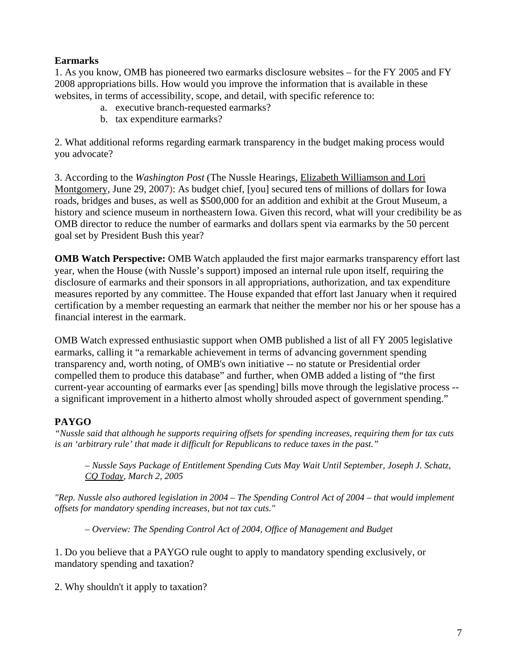## **Earmarks**

1. As you know, OMB has pioneered two earmarks disclosure websites – for the FY 2005 and FY 2008 appropriations bills. How would you improve the information that is available in these websites, in terms of accessibility, scope, and detail, with specific reference to:

- a. executive branch-requested earmarks?
- b. tax expenditure earmarks?

2. What additional reforms regarding earmark transparency in the budget making process would you advocate?

3. According to the *Washington Post* (The Nussle Hearings, Elizabeth Williamson and Lori Montgomery, June 29, 2007): As budget chief, [you] secured tens of millions of dollars for Iowa roads, bridges and buses, as well as \$500,000 for an addition and exhibit at the Grout Museum, a history and science museum in northeastern Iowa. Given this record, what will your credibility be as OMB director to reduce the number of earmarks and dollars spent via earmarks by the 50 percent goal set by President Bush this year?

**OMB Watch Perspective:** OMB Watch applauded the first major earmarks transparency effort last year, when the House (with Nussle's support) imposed an internal rule upon itself, requiring the disclosure of earmarks and their sponsors in all appropriations, authorization, and tax expenditure measures reported by any committee. The House expanded that effort last January when it required certification by a member requesting an earmark that neither the member nor his or her spouse has a financial interest in the earmark.

OMB Watch expressed enthusiastic support when OMB published a list of all FY 2005 legislative earmarks, calling it "a remarkable achievement in terms of advancing government spending transparency and, worth noting, of OMB's own initiative -- no statute or Presidential order compelled them to produce this database" and further, when OMB added a listing of "the first current-year accounting of earmarks ever [as spending] bills move through the legislative process - a significant improvement in a hitherto almost wholly shrouded aspect of government spending."

### **PAYGO**

*"Nussle said that although he supports requiring offsets for spending increases, requiring them for tax cuts is an 'arbitrary rule' that made it difficult for Republicans to reduce taxes in the past."* 

*– Nussle Says Package of Entitlement Spending Cuts May Wait Until September, Joseph J. Schatz, CQ Today, March 2, 2005* 

*"Rep. Nussle also authored legislation in 2004 – The Spending Control Act of 2004 – that would implement offsets for mandatory spending increases, but not tax cuts."* 

*– Overview: The Spending Control Act of 2004, Office of Management and Budget* 

1. Do you believe that a PAYGO rule ought to apply to mandatory spending exclusively, or mandatory spending and taxation?

2. Why shouldn't it apply to taxation?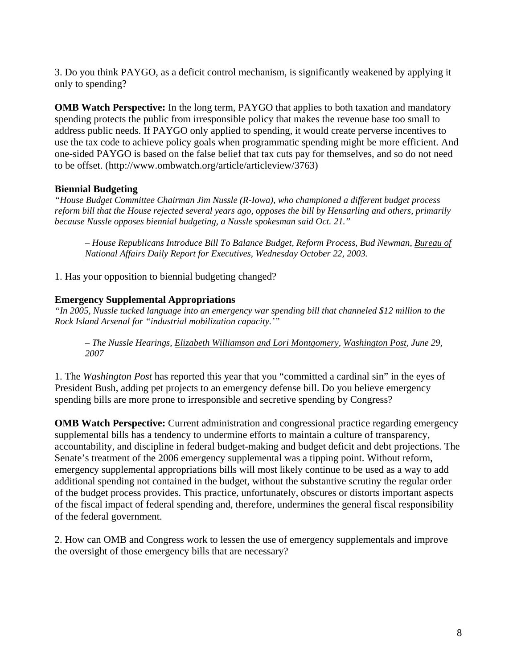3. Do you think PAYGO, as a deficit control mechanism, is significantly weakened by applying it only to spending?

**OMB Watch Perspective:** In the long term, PAYGO that applies to both taxation and mandatory spending protects the public from irresponsible policy that makes the revenue base too small to address public needs. If PAYGO only applied to spending, it would create perverse incentives to use the tax code to achieve policy goals when programmatic spending might be more efficient. And one-sided PAYGO is based on the false belief that tax cuts pay for themselves, and so do not need to be offset. (http://www.ombwatch.org/article/articleview/3763)

# **Biennial Budgeting**

*"House Budget Committee Chairman Jim Nussle (R-Iowa), who championed a different budget process reform bill that the House rejected several years ago, opposes the bill by Hensarling and others, primarily because Nussle opposes biennial budgeting, a Nussle spokesman said Oct. 21."* 

*– House Republicans Introduce Bill To Balance Budget, Reform Process, Bud Newman, Bureau of National Affairs Daily Report for Executives, Wednesday October 22, 2003.* 

1. Has your opposition to biennial budgeting changed?

### **Emergency Supplemental Appropriations**

*"In 2005, Nussle tucked language into an emergency war spending bill that channeled \$12 million to the Rock Island Arsenal for "industrial mobilization capacity.'"* 

*– The Nussle Hearings, Elizabeth Williamson and Lori Montgomery, Washington Post, June 29, 2007* 

1. The *Washington Post* has reported this year that you "committed a cardinal sin" in the eyes of President Bush, adding pet projects to an emergency defense bill. Do you believe emergency spending bills are more prone to irresponsible and secretive spending by Congress?

**OMB Watch Perspective:** Current administration and congressional practice regarding emergency supplemental bills has a tendency to undermine efforts to maintain a culture of transparency, accountability, and discipline in federal budget-making and budget deficit and debt projections. The Senate's treatment of the 2006 emergency supplemental was a tipping point. Without reform, emergency supplemental appropriations bills will most likely continue to be used as a way to add additional spending not contained in the budget, without the substantive scrutiny the regular order of the budget process provides. This practice, unfortunately, obscures or distorts important aspects of the fiscal impact of federal spending and, therefore, undermines the general fiscal responsibility of the federal government.

2. How can OMB and Congress work to lessen the use of emergency supplementals and improve the oversight of those emergency bills that are necessary?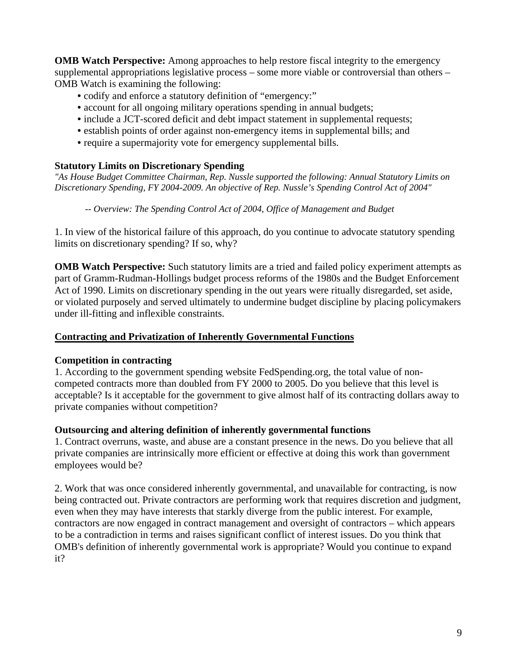**OMB Watch Perspective:** Among approaches to help restore fiscal integrity to the emergency supplemental appropriations legislative process – some more viable or controversial than others – OMB Watch is examining the following:

- codify and enforce a statutory definition of "emergency:"
- account for all ongoing military operations spending in annual budgets;
- include a JCT-scored deficit and debt impact statement in supplemental requests;
- establish points of order against non-emergency items in supplemental bills; and
- require a supermajority vote for emergency supplemental bills.

#### **Statutory Limits on Discretionary Spending**

*"As House Budget Committee Chairman, Rep. Nussle supported the following: Annual Statutory Limits on Discretionary Spending, FY 2004-2009. An objective of Rep. Nussle's Spending Control Act of 2004"* 

*-- Overview: The Spending Control Act of 2004, Office of Management and Budget* 

1. In view of the historical failure of this approach, do you continue to advocate statutory spending limits on discretionary spending? If so, why?

**OMB Watch Perspective:** Such statutory limits are a tried and failed policy experiment attempts as part of Gramm-Rudman-Hollings budget process reforms of the 1980s and the Budget Enforcement Act of 1990. Limits on discretionary spending in the out years were ritually disregarded, set aside, or violated purposely and served ultimately to undermine budget discipline by placing policymakers under ill-fitting and inflexible constraints.

# **Contracting and Privatization of Inherently Governmental Functions**

#### **Competition in contracting**

1. According to the government spending website FedSpending.org, the total value of noncompeted contracts more than doubled from FY 2000 to 2005. Do you believe that this level is acceptable? Is it acceptable for the government to give almost half of its contracting dollars away to private companies without competition?

#### **Outsourcing and altering definition of inherently governmental functions**

1. Contract overruns, waste, and abuse are a constant presence in the news. Do you believe that all private companies are intrinsically more efficient or effective at doing this work than government employees would be?

2. Work that was once considered inherently governmental, and unavailable for contracting, is now being contracted out. Private contractors are performing work that requires discretion and judgment, even when they may have interests that starkly diverge from the public interest. For example, contractors are now engaged in contract management and oversight of contractors – which appears to be a contradiction in terms and raises significant conflict of interest issues. Do you think that OMB's definition of inherently governmental work is appropriate? Would you continue to expand it?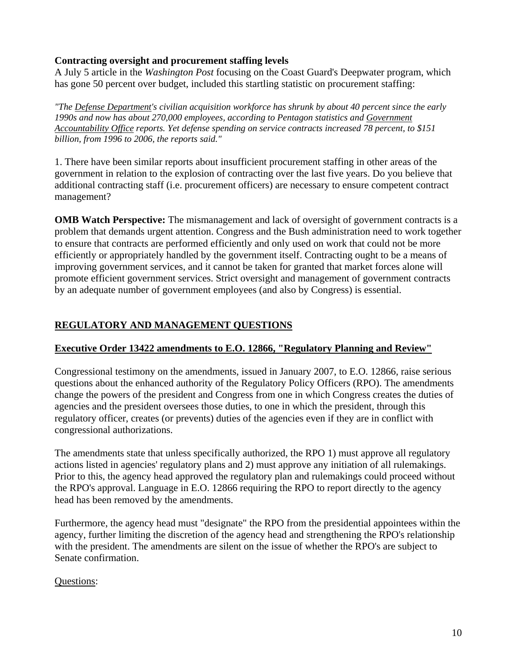## **Contracting oversight and procurement staffing levels**

A July 5 article in the *Washington Post* focusing on the Coast Guard's Deepwater program, which has gone 50 percent over budget, included this startling statistic on procurement staffing:

*"The Defense Department's civilian acquisition workforce has shrunk by about 40 percent since the early 1990s and now has about 270,000 employees, according to Pentagon statistics and Government Accountability Office reports. Yet defense spending on service contracts increased 78 percent, to \$151 billion, from 1996 to 2006, the reports said."* 

1. There have been similar reports about insufficient procurement staffing in other areas of the government in relation to the explosion of contracting over the last five years. Do you believe that additional contracting staff (i.e. procurement officers) are necessary to ensure competent contract management?

**OMB Watch Perspective:** The mismanagement and lack of oversight of government contracts is a problem that demands urgent attention. Congress and the Bush administration need to work together to ensure that contracts are performed efficiently and only used on work that could not be more efficiently or appropriately handled by the government itself. Contracting ought to be a means of improving government services, and it cannot be taken for granted that market forces alone will promote efficient government services. Strict oversight and management of government contracts by an adequate number of government employees (and also by Congress) is essential.

# **REGULATORY AND MANAGEMENT QUESTIONS**

# **Executive Order 13422 amendments to E.O. 12866, "Regulatory Planning and Review"**

Congressional testimony on the amendments, issued in January 2007, to E.O. 12866, raise serious questions about the enhanced authority of the Regulatory Policy Officers (RPO). The amendments change the powers of the president and Congress from one in which Congress creates the duties of agencies and the president oversees those duties, to one in which the president, through this regulatory officer, creates (or prevents) duties of the agencies even if they are in conflict with congressional authorizations.

The amendments state that unless specifically authorized, the RPO 1) must approve all regulatory actions listed in agencies' regulatory plans and 2) must approve any initiation of all rulemakings. Prior to this, the agency head approved the regulatory plan and rulemakings could proceed without the RPO's approval. Language in E.O. 12866 requiring the RPO to report directly to the agency head has been removed by the amendments.

Furthermore, the agency head must "designate" the RPO from the presidential appointees within the agency, further limiting the discretion of the agency head and strengthening the RPO's relationship with the president. The amendments are silent on the issue of whether the RPO's are subject to Senate confirmation.

### Questions: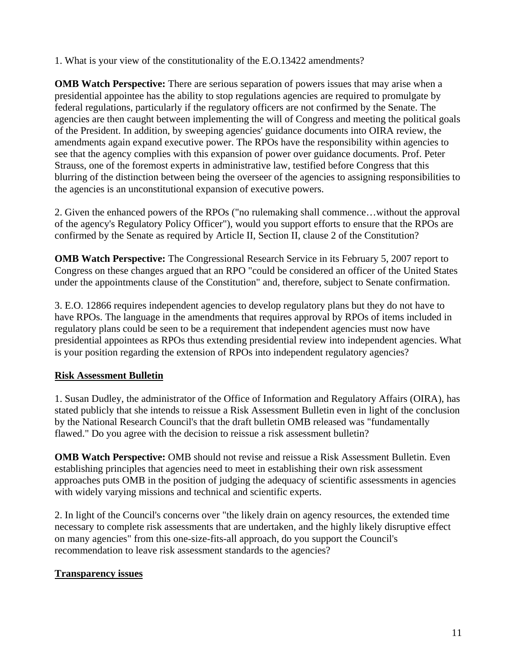1. What is your view of the constitutionality of the E.O.13422 amendments?

**OMB Watch Perspective:** There are serious separation of powers issues that may arise when a presidential appointee has the ability to stop regulations agencies are required to promulgate by federal regulations, particularly if the regulatory officers are not confirmed by the Senate. The agencies are then caught between implementing the will of Congress and meeting the political goals of the President. In addition, by sweeping agencies' guidance documents into OIRA review, the amendments again expand executive power. The RPOs have the responsibility within agencies to see that the agency complies with this expansion of power over guidance documents. Prof. Peter Strauss, one of the foremost experts in administrative law, testified before Congress that this blurring of the distinction between being the overseer of the agencies to assigning responsibilities to the agencies is an unconstitutional expansion of executive powers.

2. Given the enhanced powers of the RPOs ("no rulemaking shall commence…without the approval of the agency's Regulatory Policy Officer"), would you support efforts to ensure that the RPOs are confirmed by the Senate as required by Article II, Section II, clause 2 of the Constitution?

**OMB Watch Perspective:** The Congressional Research Service in its February 5, 2007 report to Congress on these changes argued that an RPO "could be considered an officer of the United States under the appointments clause of the Constitution" and, therefore, subject to Senate confirmation.

3. E.O. 12866 requires independent agencies to develop regulatory plans but they do not have to have RPOs. The language in the amendments that requires approval by RPOs of items included in regulatory plans could be seen to be a requirement that independent agencies must now have presidential appointees as RPOs thus extending presidential review into independent agencies. What is your position regarding the extension of RPOs into independent regulatory agencies?

### **Risk Assessment Bulletin**

1. Susan Dudley, the administrator of the Office of Information and Regulatory Affairs (OIRA), has stated publicly that she intends to reissue a Risk Assessment Bulletin even in light of the conclusion by the National Research Council's that the draft bulletin OMB released was "fundamentally flawed." Do you agree with the decision to reissue a risk assessment bulletin?

**OMB Watch Perspective:** OMB should not revise and reissue a Risk Assessment Bulletin. Even establishing principles that agencies need to meet in establishing their own risk assessment approaches puts OMB in the position of judging the adequacy of scientific assessments in agencies with widely varying missions and technical and scientific experts.

2. In light of the Council's concerns over "the likely drain on agency resources, the extended time necessary to complete risk assessments that are undertaken, and the highly likely disruptive effect on many agencies" from this one-size-fits-all approach, do you support the Council's recommendation to leave risk assessment standards to the agencies?

### **Transparency issues**